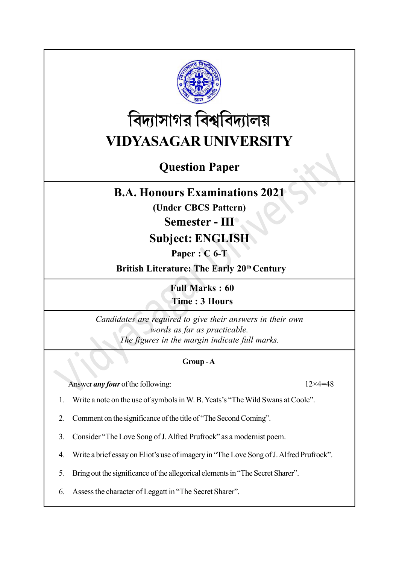

# বিদ্যাসাগর বিশ্ববিদ্যালয় VIDYASAGAR UNIVERSITY

# Question Paper

# B.A. Honours Examinations 2021

(Under CBCS Pattern)

## Semester - III

# Subject: ENGLISH

Paper : C 6-T

British Literature: The Early 20<sup>th</sup> Century

Full Marks : 60 Time : 3 Hours

Candidates are required to give their answers in their own words as far as practicable. The figures in the margin indicate full marks.

### Group - A

Answer *any four* of the following:  $12 \times 4 = 48$ 

- 1. Write a note on the use of symbols in W. B. Yeats's "The Wild Swans at Coole".
- 2. Comment on the significance of the title of "The Second Coming".
- 3. Consider "The Love Song of J. Alfred Prufrock" as a modernist poem.
- 4. Write a brief essay on Eliot's use of imagery in "The Love Song of J. Alfred Prufrock".
- 5. Bring out the significance of the allegorical elements in "The Secret Sharer".
- 6. Assess the character of Leggatt in "The Secret Sharer".